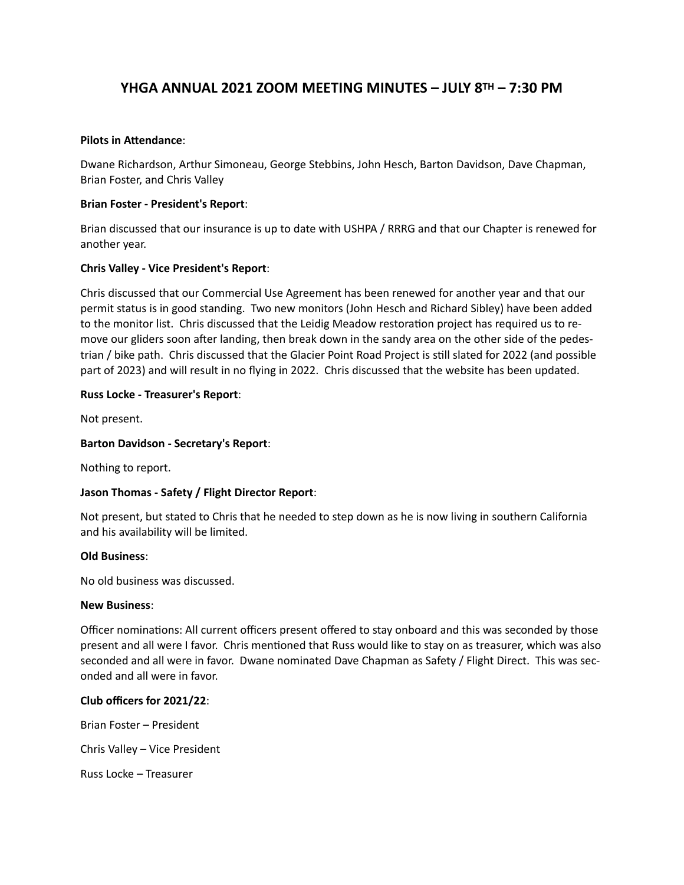# **YHGA ANNUAL 2021 ZOOM MEETING MINUTES – JULY 8TH – 7:30 PM**

### **Pilots in Attendance**:

Dwane Richardson, Arthur Simoneau, George Stebbins, John Hesch, Barton Davidson, Dave Chapman, Brian Foster, and Chris Valley

### **Brian Foster - President's Report**:

Brian discussed that our insurance is up to date with USHPA / RRRG and that our Chapter is renewed for another year.

# **Chris Valley - Vice President's Report**:

Chris discussed that our Commercial Use Agreement has been renewed for another year and that our permit status is in good standing. Two new monitors (John Hesch and Richard Sibley) have been added to the monitor list. Chris discussed that the Leidig Meadow restoration project has required us to remove our gliders soon after landing, then break down in the sandy area on the other side of the pedestrian / bike path. Chris discussed that the Glacier Point Road Project is still slated for 2022 (and possible part of 2023) and will result in no flying in 2022. Chris discussed that the website has been updated.

### **Russ Locke - Treasurer's Report**:

Not present.

## **Barton Davidson - Secretary's Report**:

Nothing to report.

# **Jason Thomas - Safety / Flight Director Report**:

Not present, but stated to Chris that he needed to step down as he is now living in southern California and his availability will be limited.

#### **Old Business**:

No old business was discussed.

#### **New Business**:

Officer nominations: All current officers present offered to stay onboard and this was seconded by those present and all were I favor. Chris mentioned that Russ would like to stay on as treasurer, which was also seconded and all were in favor. Dwane nominated Dave Chapman as Safety / Flight Direct. This was seconded and all were in favor.

# **Club officers for 2021/22**:

Brian Foster – President

Chris Valley – Vice President

Russ Locke – Treasurer